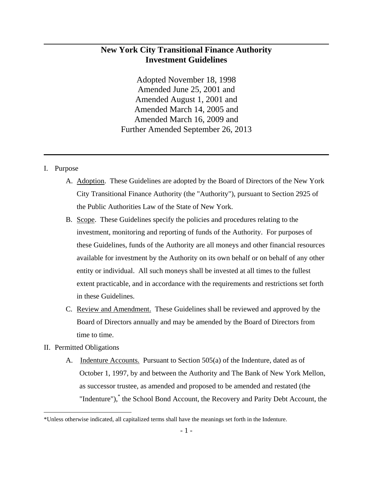# **New York City Transitional Finance Authority Investment Guidelines**

Adopted November 18, 1998 Amended June 25, 2001 and Amended August 1, 2001 and Amended March 14, 2005 and Amended March 16, 2009 and Further Amended September 26, 2013

### I. Purpose

- A. Adoption. These Guidelines are adopted by the Board of Directors of the New York City Transitional Finance Authority (the "Authority"), pursuant to Section 2925 of the Public Authorities Law of the State of New York.
- B. Scope. These Guidelines specify the policies and procedures relating to the investment, monitoring and reporting of funds of the Authority. For purposes of these Guidelines, funds of the Authority are all moneys and other financial resources available for investment by the Authority on its own behalf or on behalf of any other entity or individual. All such moneys shall be invested at all times to the fullest extent practicable, and in accordance with the requirements and restrictions set forth in these Guidelines.
- C. Review and Amendment. These Guidelines shall be reviewed and approved by the Board of Directors annually and may be amended by the Board of Directors from time to time.

## II. Permitted Obligations

1

A. Indenture Accounts. Pursuant to Section 505(a) of the Indenture, dated as of October 1, 1997, by and between the Authority and The Bank of New York Mellon, as successor trustee, as amended and proposed to be amended and restated (the "Indenture"),<sup>\*</sup> the School Bond Account, the Recovery and Parity Debt Account, the

<sup>\*</sup>Unless otherwise indicated, all capitalized terms shall have the meanings set forth in the Indenture.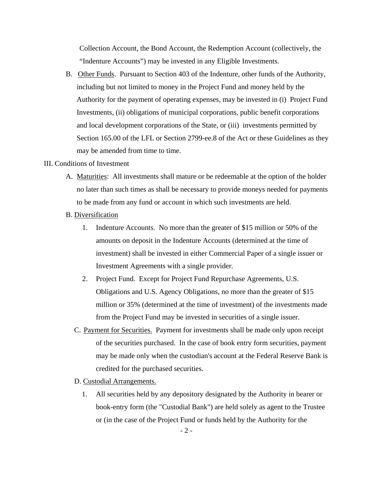Collection Account, the Bond Account, the Redemption Account (collectively, the "Indenture Accounts") may be invested in any Eligible Investments.

B. Other Funds. Pursuant to Section 403 of the Indenture, other funds of the Authority, including but not limited to money in the Project Fund and money held by the Authority for the payment of operating expenses, may be invested in (i) Project Fund Investments, (ii) obligations of municipal corporations, public benefit corporations and local development corporations of the State, or (iii) investments permitted by Section 165.00 of the LFL or Section 2799-ee.8 of the Act or these Guidelines as they may be amended from time to time.

#### III. Conditions of Investment

- A. Maturities: All investments shall mature or be redeemable at the option of the holder no later than such times as shall be necessary to provide moneys needed for payments to be made from any fund or account in which such investments are held.
- B. Diversification
	- 1. Indenture Accounts. No more than the greater of \$15 million or 50% of the amounts on deposit in the Indenture Accounts (determined at the time of investment) shall be invested in either Commercial Paper of a single issuer or Investment Agreements with a single provider.
	- 2. Project Fund. Except for Project Fund Repurchase Agreements, U.S. Obligations and U.S. Agency Obligations, no more than the greater of \$15 million or 35% (determined at the time of investment) of the investments made from the Project Fund may be invested in securities of a single issuer.
	- C. Payment for Securities. Payment for investments shall be made only upon receipt of the securities purchased. In the case of book entry form securities, payment may be made only when the custodian's account at the Federal Reserve Bank is credited for the purchased securities.
	- D. Custodial Arrangements.
		- 1. All securities held by any depository designated by the Authority in bearer or book-entry form (the "Custodial Bank") are held solely as agent to the Trustee or (in the case of the Project Fund or funds held by the Authority for the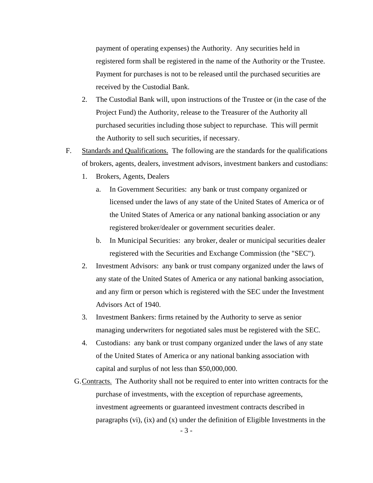payment of operating expenses) the Authority. Any securities held in registered form shall be registered in the name of the Authority or the Trustee. Payment for purchases is not to be released until the purchased securities are received by the Custodial Bank.

- 2. The Custodial Bank will, upon instructions of the Trustee or (in the case of the Project Fund) the Authority, release to the Treasurer of the Authority all purchased securities including those subject to repurchase. This will permit the Authority to sell such securities, if necessary.
- F. Standards and Qualifications. The following are the standards for the qualifications of brokers, agents, dealers, investment advisors, investment bankers and custodians:
	- 1. Brokers, Agents, Dealers
		- a. In Government Securities: any bank or trust company organized or licensed under the laws of any state of the United States of America or of the United States of America or any national banking association or any registered broker/dealer or government securities dealer.
		- b. In Municipal Securities: any broker, dealer or municipal securities dealer registered with the Securities and Exchange Commission (the "SEC").
	- 2. Investment Advisors: any bank or trust company organized under the laws of any state of the United States of America or any national banking association, and any firm or person which is registered with the SEC under the Investment Advisors Act of 1940.
	- 3. Investment Bankers: firms retained by the Authority to serve as senior managing underwriters for negotiated sales must be registered with the SEC.
	- 4. Custodians: any bank or trust company organized under the laws of any state of the United States of America or any national banking association with capital and surplus of not less than \$50,000,000.
	- G. Contracts. The Authority shall not be required to enter into written contracts for the purchase of investments, with the exception of repurchase agreements, investment agreements or guaranteed investment contracts described in paragraphs  $(vi)$ ,  $(ix)$  and  $(x)$  under the definition of Eligible Investments in the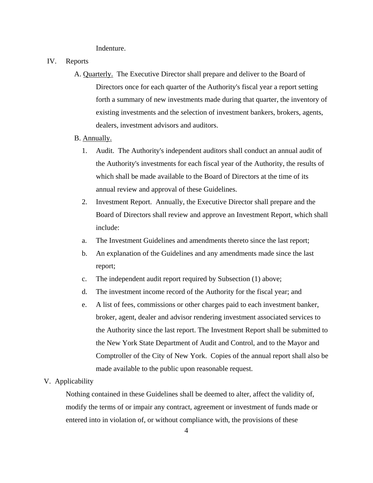Indenture.

- IV. Reports
	- A. Quarterly. The Executive Director shall prepare and deliver to the Board of Directors once for each quarter of the Authority's fiscal year a report setting forth a summary of new investments made during that quarter, the inventory of existing investments and the selection of investment bankers, brokers, agents, dealers, investment advisors and auditors.
	- B. Annually.
		- 1. Audit. The Authority's independent auditors shall conduct an annual audit of the Authority's investments for each fiscal year of the Authority, the results of which shall be made available to the Board of Directors at the time of its annual review and approval of these Guidelines.
		- 2. Investment Report. Annually, the Executive Director shall prepare and the Board of Directors shall review and approve an Investment Report, which shall include:
		- a. The Investment Guidelines and amendments thereto since the last report;
		- b. An explanation of the Guidelines and any amendments made since the last report;
		- c. The independent audit report required by Subsection (1) above;
		- d. The investment income record of the Authority for the fiscal year; and
		- e. A list of fees, commissions or other charges paid to each investment banker, broker, agent, dealer and advisor rendering investment associated services to the Authority since the last report. The Investment Report shall be submitted to the New York State Department of Audit and Control, and to the Mayor and Comptroller of the City of New York. Copies of the annual report shall also be made available to the public upon reasonable request.

#### V. Applicability

Nothing contained in these Guidelines shall be deemed to alter, affect the validity of, modify the terms of or impair any contract, agreement or investment of funds made or entered into in violation of, or without compliance with, the provisions of these